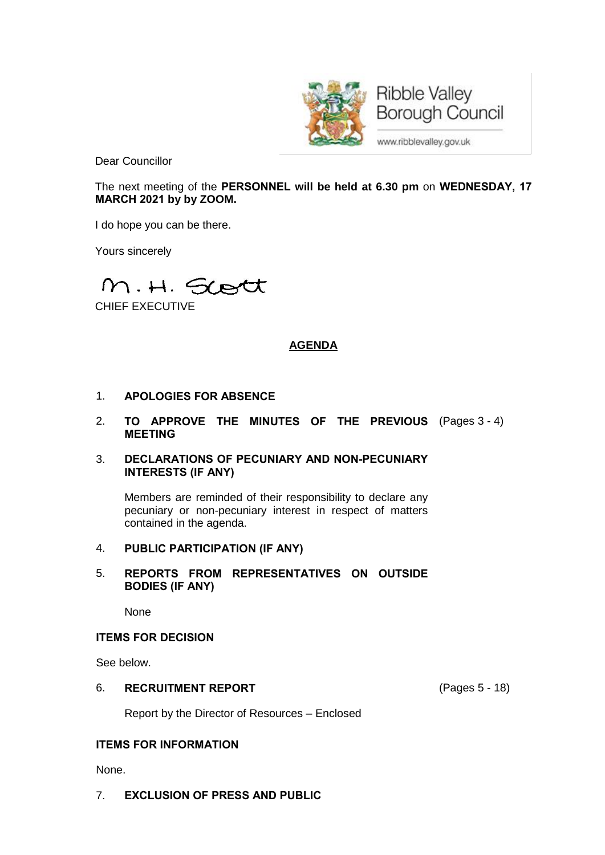

**Ribble Valley Borough Council** 

www.ribblevalley.gov.uk

Dear Councillor

The next meeting of the **PERSONNEL will be held at 6.30 pm** on **WEDNESDAY, 17 MARCH 2021 by by ZOOM.**

I do hope you can be there.

Yours sincerely

M.H. Scott

CHIEF EXECUTIVE

# **AGENDA**

- 1. **APOLOGIES FOR ABSENCE**
- 2. **TO APPROVE THE MINUTES OF THE PREVIOUS** (Pages 3 4) **MEETING**
- 3. **DECLARATIONS OF PECUNIARY AND NON-PECUNIARY INTERESTS (IF ANY)**

Members are reminded of their responsibility to declare any pecuniary or non-pecuniary interest in respect of matters contained in the agenda.

## 4. **PUBLIC PARTICIPATION (IF ANY)**

# 5. **REPORTS FROM REPRESENTATIVES ON OUTSIDE BODIES (IF ANY)**

None

## **ITEMS FOR DECISION**

See below.

## 6. **RECRUITMENT REPORT** (Pages 5 - 18)

Report by the Director of Resources – Enclosed

## **ITEMS FOR INFORMATION**

None.

7. **EXCLUSION OF PRESS AND PUBLIC**